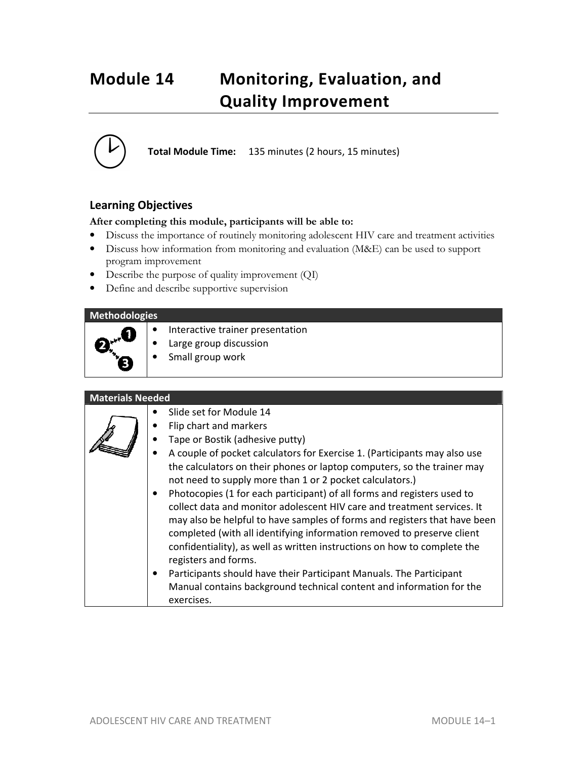# **Module 14 Monitoring, Evaluation, and Quality Improvement**



**Total Module Time:** 135 minutes (2 hours, 15 minutes)

### **Learning Objectives**

#### **After completing this module, participants will be able to:**

- Discuss the importance of routinely monitoring adolescent HIV care and treatment activities
- Discuss how information from monitoring and evaluation (M&E) can be used to support program improvement
- Describe the purpose of quality improvement (QI)
- Define and describe supportive supervision

| <b>Methodologies</b>    |                                                                                                                                                                                                                                                                                                                                                                                                                                                                                                                                                                                                                                                                                                                |
|-------------------------|----------------------------------------------------------------------------------------------------------------------------------------------------------------------------------------------------------------------------------------------------------------------------------------------------------------------------------------------------------------------------------------------------------------------------------------------------------------------------------------------------------------------------------------------------------------------------------------------------------------------------------------------------------------------------------------------------------------|
|                         | Interactive trainer presentation<br>Large group discussion<br>Small group work                                                                                                                                                                                                                                                                                                                                                                                                                                                                                                                                                                                                                                 |
| <b>Materials Needed</b> |                                                                                                                                                                                                                                                                                                                                                                                                                                                                                                                                                                                                                                                                                                                |
|                         | Slide set for Module 14<br>Flip chart and markers<br>Tape or Bostik (adhesive putty)<br>A couple of pocket calculators for Exercise 1. (Participants may also use<br>the calculators on their phones or laptop computers, so the trainer may<br>not need to supply more than 1 or 2 pocket calculators.)<br>Photocopies (1 for each participant) of all forms and registers used to<br>$\bullet$<br>collect data and monitor adolescent HIV care and treatment services. It<br>may also be helpful to have samples of forms and registers that have been<br>completed (with all identifying information removed to preserve client<br>confidentiality), as well as written instructions on how to complete the |

registers and forms. • Participants should have their Participant Manuals. The Participant Manual contains background technical content and information for the exercises.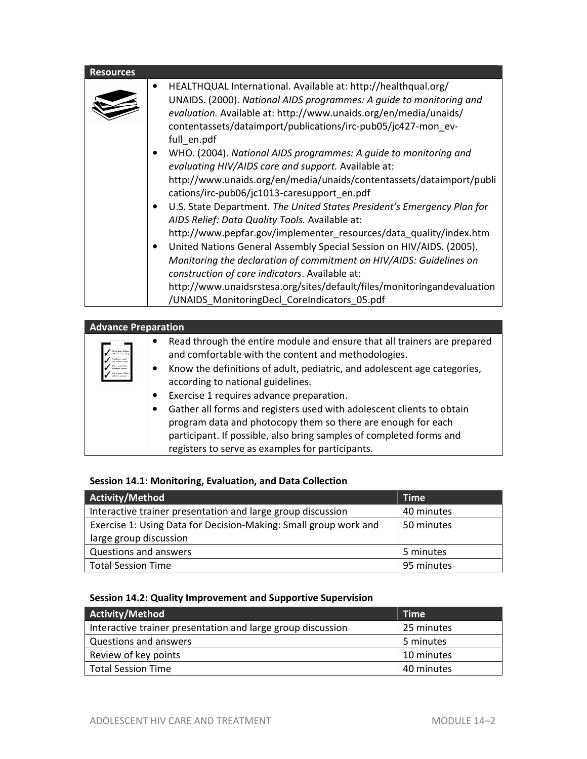| <b>Resources</b> |                                                                                                                                                                                                                                                                                                                                                                                                                                                                                                                                                                                                                                                                                                                                                                                                                                                                                                                                                                                                                                                                            |
|------------------|----------------------------------------------------------------------------------------------------------------------------------------------------------------------------------------------------------------------------------------------------------------------------------------------------------------------------------------------------------------------------------------------------------------------------------------------------------------------------------------------------------------------------------------------------------------------------------------------------------------------------------------------------------------------------------------------------------------------------------------------------------------------------------------------------------------------------------------------------------------------------------------------------------------------------------------------------------------------------------------------------------------------------------------------------------------------------|
|                  | HEALTHQUAL International. Available at: http://healthqual.org/<br>UNAIDS. (2000). National AIDS programmes: A guide to monitoring and<br>evaluation. Available at: http://www.unaids.org/en/media/unaids/<br>contentassets/dataimport/publications/irc-pub05/jc427-mon ev-<br>full en.pdf<br>WHO. (2004). National AIDS programmes: A guide to monitoring and<br>evaluating HIV/AIDS care and support. Available at:<br>http://www.unaids.org/en/media/unaids/contentassets/dataimport/publi<br>cations/irc-pub06/jc1013-caresupport_en.pdf<br>U.S. State Department. The United States President's Emergency Plan for<br>AIDS Relief: Data Quality Tools. Available at:<br>http://www.pepfar.gov/implementer_resources/data_quality/index.htm<br>United Nations General Assembly Special Session on HIV/AIDS. (2005).<br>Monitoring the declaration of commitment on HIV/AIDS: Guidelines on<br>construction of core indicators. Available at:<br>http://www.unaidsrstesa.org/sites/default/files/monitoringandevaluation<br>/UNAIDS_MonitoringDecl_CoreIndicators_05.pdf |

| <b>Advance Preparation</b>                                                                                                  |                                                                                                                                                                                                                                                                                                                                                                                                                                                                                                                                                                  |
|-----------------------------------------------------------------------------------------------------------------------------|------------------------------------------------------------------------------------------------------------------------------------------------------------------------------------------------------------------------------------------------------------------------------------------------------------------------------------------------------------------------------------------------------------------------------------------------------------------------------------------------------------------------------------------------------------------|
| -hal at gann Halder<br>adhinn minnel o<br>.<br>Kutabapan wakat<br>pat delpakin kenka<br>(kinn gels karke<br>voletget verden | Read through the entire module and ensure that all trainers are prepared<br>and comfortable with the content and methodologies.<br>Know the definitions of adult, pediatric, and adolescent age categories,<br>according to national guidelines.<br>Exercise 1 requires advance preparation.<br>Gather all forms and registers used with adolescent clients to obtain<br>program data and photocopy them so there are enough for each<br>participant. If possible, also bring samples of completed forms and<br>registers to serve as examples for participants. |

### **Session 14.1: Monitoring, Evaluation, and Data Collection**

| Activity/Method                                                  | <b>Time</b> |
|------------------------------------------------------------------|-------------|
| Interactive trainer presentation and large group discussion      | 40 minutes  |
| Exercise 1: Using Data for Decision-Making: Small group work and | 50 minutes  |
| large group discussion                                           |             |
| Questions and answers                                            | 5 minutes   |
| <b>Total Session Time</b>                                        | 95 minutes  |

### **Session 14.2: Quality Improvement and Supportive Supervision**

| Activity/Method                                             | <b>Time</b> |
|-------------------------------------------------------------|-------------|
| Interactive trainer presentation and large group discussion | 25 minutes  |
| Questions and answers                                       | 5 minutes   |
| Review of key points                                        | 10 minutes  |
| <b>Total Session Time</b>                                   | 40 minutes  |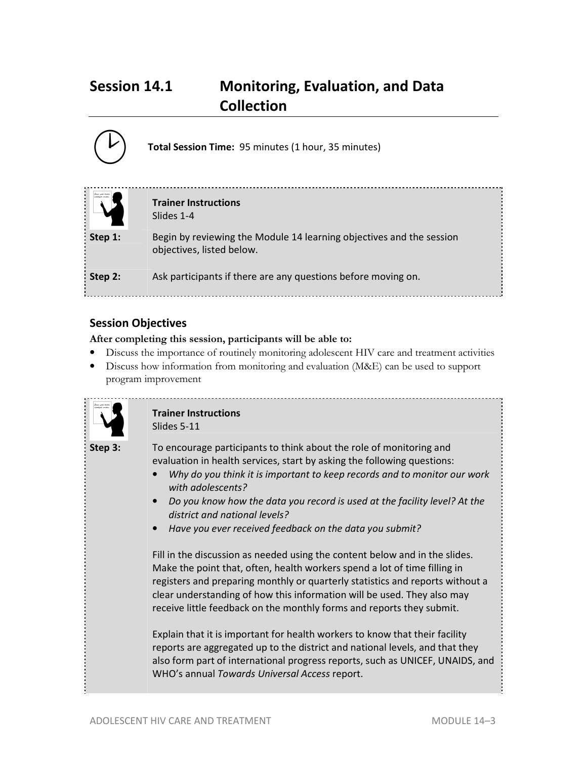## **Session 14.1 Monitoring, Evaluation, and Data Collection**

|         | Total Session Time: 95 minutes (1 hour, 35 minutes)                                               |
|---------|---------------------------------------------------------------------------------------------------|
|         | <b>Trainer Instructions</b><br>Slides 1-4                                                         |
| Step 1: | Begin by reviewing the Module 14 learning objectives and the session<br>objectives, listed below. |
| Step 2: | Ask participants if there are any questions before moving on.                                     |

### **Session Objectives**

#### **After completing this session, participants will be able to:**

- Discuss the importance of routinely monitoring adolescent HIV care and treatment activities
- Discuss how information from monitoring and evaluation (M&E) can be used to support program improvement



#### **Trainer Instructions**  Slides 5-11

**Step 3:** To encourage participants to think about the role of monitoring and evaluation in health services, start by asking the following questions:

- *Why do you think it is important to keep records and to monitor our work with adolescents?*
- *Do you know how the data you record is used at the facility level? At the district and national levels?*
- *Have you ever received feedback on the data you submit?*

Fill in the discussion as needed using the content below and in the slides. Make the point that, often, health workers spend a lot of time filling in registers and preparing monthly or quarterly statistics and reports without a clear understanding of how this information will be used. They also may receive little feedback on the monthly forms and reports they submit.

Explain that it is important for health workers to know that their facility reports are aggregated up to the district and national levels, and that they also form part of international progress reports, such as UNICEF, UNAIDS, and WHO's annual *Towards Universal Access* report.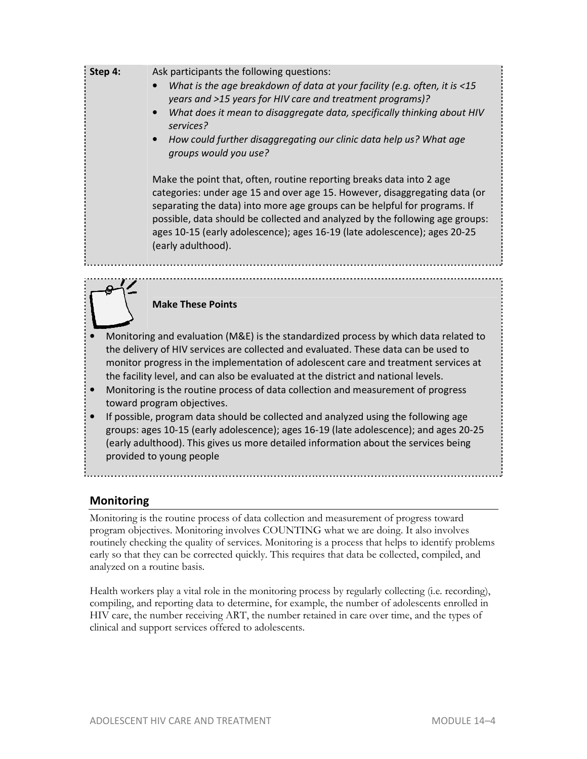**Step 4:** Ask participants the following questions:

- *What is the age breakdown of data at your facility (e.g. often, it is <15 years and >15 years for HIV care and treatment programs)?*
- *What does it mean to disaggregate data, specifically thinking about HIV services?*
- *How could further disaggregating our clinic data help us? What age groups would you use?*

Make the point that, often, routine reporting breaks data into 2 age categories: under age 15 and over age 15. However, disaggregating data (or separating the data) into more age groups can be helpful for programs. If possible, data should be collected and analyzed by the following age groups: ages 10-15 (early adolescence); ages 16-19 (late adolescence); ages 20-25 (early adulthood).

#### **Make These Points**

- Monitoring and evaluation (M&E) is the standardized process by which data related to the delivery of HIV services are collected and evaluated. These data can be used to monitor progress in the implementation of adolescent care and treatment services at the facility level, and can also be evaluated at the district and national levels.
- Monitoring is the routine process of data collection and measurement of progress toward program objectives.
- If possible, program data should be collected and analyzed using the following age groups: ages 10-15 (early adolescence); ages 16-19 (late adolescence); and ages 20-25 (early adulthood). This gives us more detailed information about the services being provided to young people

### **Monitoring**

Monitoring is the routine process of data collection and measurement of progress toward program objectives. Monitoring involves COUNTING what we are doing. It also involves routinely checking the quality of services. Monitoring is a process that helps to identify problems early so that they can be corrected quickly. This requires that data be collected, compiled, and analyzed on a routine basis.

Health workers play a vital role in the monitoring process by regularly collecting (i.e. recording), compiling, and reporting data to determine, for example, the number of adolescents enrolled in HIV care, the number receiving ART, the number retained in care over time, and the types of clinical and support services offered to adolescents.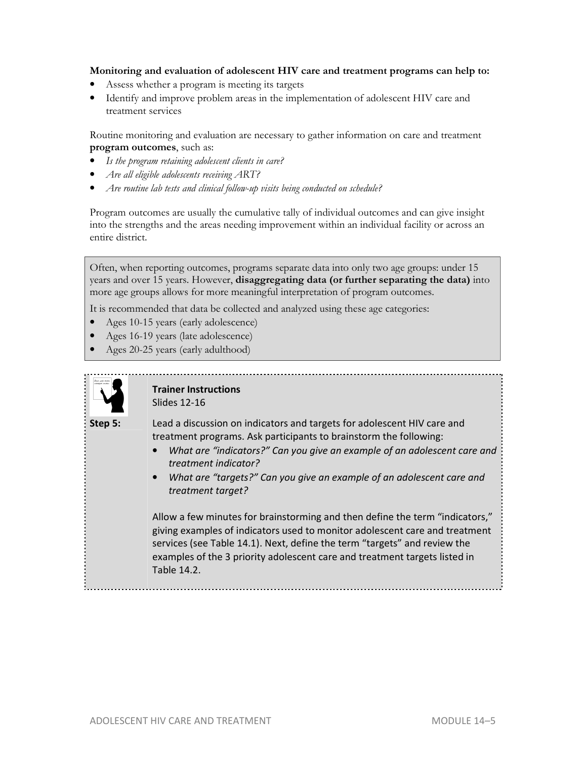#### **Monitoring and evaluation of adolescent HIV care and treatment programs can help to:**

- Assess whether a program is meeting its targets
- Identify and improve problem areas in the implementation of adolescent HIV care and treatment services

Routine monitoring and evaluation are necessary to gather information on care and treatment **program outcomes**, such as:

- *Is the program retaining adolescent clients in care?*
- *Are all eligible adolescents receiving ART?*
- *Are routine lab tests and clinical follow-up visits being conducted on schedule?*

Program outcomes are usually the cumulative tally of individual outcomes and can give insight into the strengths and the areas needing improvement within an individual facility or across an entire district.

Often, when reporting outcomes, programs separate data into only two age groups: under 15 years and over 15 years. However, **disaggregating data (or further separating the data)** into more age groups allows for more meaningful interpretation of program outcomes.

It is recommended that data be collected and analyzed using these age categories:

- Ages 10-15 years (early adolescence)
- Ages 16-19 years (late adolescence)
- Ages 20-25 years (early adulthood)



#### **Trainer Instructions**  Slides 12-16

**Step 5:** Lead a discussion on indicators and targets for adolescent HIV care and treatment programs. Ask participants to brainstorm the following:

- *What are "indicators?" Can you give an example of an adolescent care and treatment indicator?*
- *What are "targets?" Can you give an example of an adolescent care and treatment target?*

Allow a few minutes for brainstorming and then define the term "indicators," giving examples of indicators used to monitor adolescent care and treatment services (see Table 14.1). Next, define the term "targets" and review the examples of the 3 priority adolescent care and treatment targets listed in Table 14.2.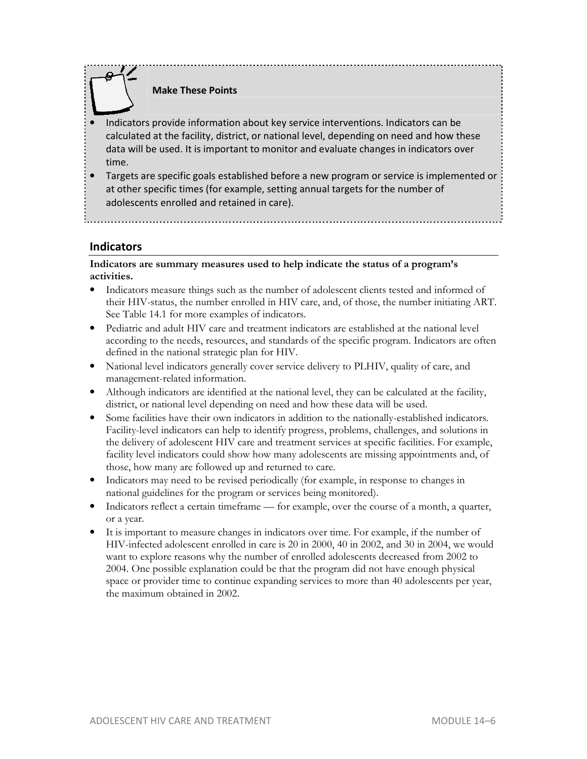### **Make These Points**

- Indicators provide information about key service interventions. Indicators can be calculated at the facility, district, or national level, depending on need and how these data will be used. It is important to monitor and evaluate changes in indicators over time.
- Targets are specific goals established before a new program or service is implemented or at other specific times (for example, setting annual targets for the number of adolescents enrolled and retained in care).

### **Indicators**

**Indicators are summary measures used to help indicate the status of a program's activities.** 

- Indicators measure things such as the number of adolescent clients tested and informed of their HIV-status, the number enrolled in HIV care, and, of those, the number initiating ART. See Table 14.1 for more examples of indicators.
- Pediatric and adult HIV care and treatment indicators are established at the national level according to the needs, resources, and standards of the specific program. Indicators are often defined in the national strategic plan for HIV.
- National level indicators generally cover service delivery to PLHIV, quality of care, and management-related information.
- Although indicators are identified at the national level, they can be calculated at the facility, district, or national level depending on need and how these data will be used.
- Some facilities have their own indicators in addition to the nationally-established indicators. Facility-level indicators can help to identify progress, problems, challenges, and solutions in the delivery of adolescent HIV care and treatment services at specific facilities. For example, facility level indicators could show how many adolescents are missing appointments and, of those, how many are followed up and returned to care.
- Indicators may need to be revised periodically (for example, in response to changes in national guidelines for the program or services being monitored).
- Indicators reflect a certain timeframe for example, over the course of a month, a quarter, or a year.
- It is important to measure changes in indicators over time. For example, if the number of HIV-infected adolescent enrolled in care is 20 in 2000, 40 in 2002, and 30 in 2004, we would want to explore reasons why the number of enrolled adolescents decreased from 2002 to 2004. One possible explanation could be that the program did not have enough physical space or provider time to continue expanding services to more than 40 adolescents per year, the maximum obtained in 2002.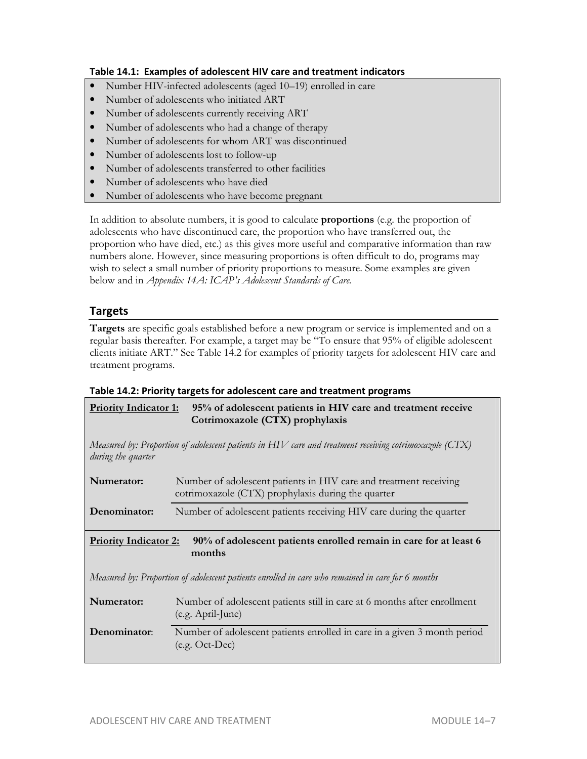#### **Table 14.1: Examples of adolescent HIV care and treatment indicators**

- Number HIV-infected adolescents (aged 10–19) enrolled in care
- Number of adolescents who initiated ART
- Number of adolescents currently receiving ART
- Number of adolescents who had a change of therapy
- Number of adolescents for whom ART was discontinued
- Number of adolescents lost to follow-up
- Number of adolescents transferred to other facilities
- Number of adolescents who have died
- Number of adolescents who have become pregnant

In addition to absolute numbers, it is good to calculate **proportions** (e.g. the proportion of adolescents who have discontinued care, the proportion who have transferred out, the proportion who have died, etc.) as this gives more useful and comparative information than raw numbers alone. However, since measuring proportions is often difficult to do, programs may wish to select a small number of priority proportions to measure. Some examples are given below and in *Appendix 14A: ICAP's Adolescent Standards of Care.*

### **Targets**

**Targets** are specific goals established before a new program or service is implemented and on a regular basis thereafter. For example, a target may be "To ensure that 95% of eligible adolescent clients initiate ART." See Table 14.2 for examples of priority targets for adolescent HIV care and treatment programs.

#### **Table 14.2: Priority targets for adolescent care and treatment programs**

| Priority Indicator 1: 95% of adolescent patients in HIV care and treatment receive |
|------------------------------------------------------------------------------------|
| Cotrimoxazole (CTX) prophylaxis                                                    |

*Measured by: Proportion of adolescent patients in HIV care and treatment receiving cotrimoxazole (CTX) during the quarter* 

| Numerator:                   | Number of adolescent patients in HIV care and treatment receiving<br>cotrimoxazole (CTX) prophylaxis during the quarter |
|------------------------------|-------------------------------------------------------------------------------------------------------------------------|
| Denominator:                 | Number of adolescent patients receiving HIV care during the quarter                                                     |
| <b>Priority Indicator 2:</b> | 90% of adolescent patients enrolled remain in care for at least 6<br>months                                             |

*Measured by: Proportion of adolescent patients enrolled in care who remained in care for 6 months* 

| Numerator:   | Number of adolescent patients still in care at 6 months after enrollment<br>$(e.g. April-June)$ |
|--------------|-------------------------------------------------------------------------------------------------|
| Denominator: | Number of adolescent patients enrolled in care in a given 3 month period<br>$(e.g. Oct-Dec)$    |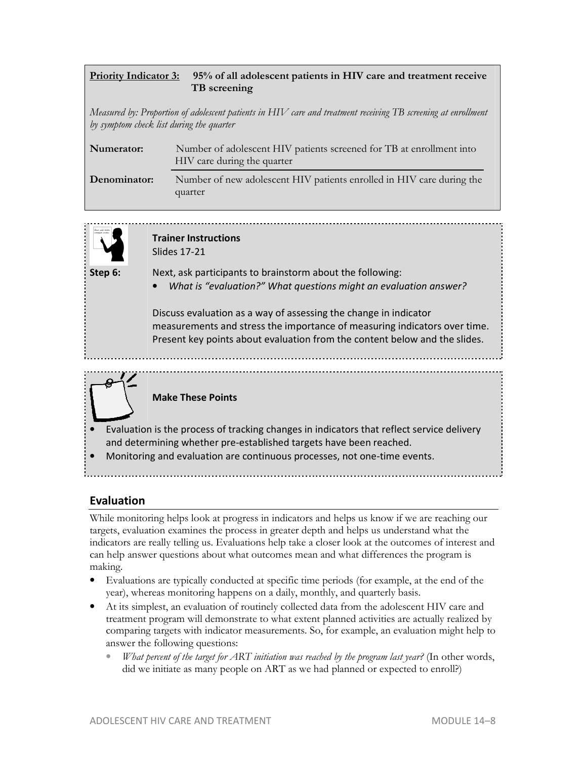### **Priority Indicator 3: 95% of all adolescent patients in HIV care and treatment receive TB screening**

*Measured by: Proportion of adolescent patients in HIV care and treatment receiving TB screening at enrollment by symptom check list during the quarter* 

| Numerator:   | Number of adolescent HIV patients screened for TB at enrollment into<br>HIV care during the quarter |
|--------------|-----------------------------------------------------------------------------------------------------|
| Denominator: | Number of new adolescent HIV patients enrolled in HIV care during the<br>quarter                    |



**Trainer Instructions**  Slides 17-21

- **Step 6:** Next, ask participants to brainstorm about the following:
	- *What is "evaluation?" What questions might an evaluation answer?*

Discuss evaluation as a way of assessing the change in indicator measurements and stress the importance of measuring indicators over time. Present key points about evaluation from the content below and the slides.



### **Make These Points**

- Evaluation is the process of tracking changes in indicators that reflect service delivery and determining whether pre-established targets have been reached.
- Monitoring and evaluation are continuous processes, not one-time events.

## **Evaluation**

While monitoring helps look at progress in indicators and helps us know if we are reaching our targets, evaluation examines the process in greater depth and helps us understand what the indicators are really telling us. Evaluations help take a closer look at the outcomes of interest and can help answer questions about what outcomes mean and what differences the program is making.

- Evaluations are typically conducted at specific time periods (for example, at the end of the year), whereas monitoring happens on a daily, monthly, and quarterly basis.
- At its simplest, an evaluation of routinely collected data from the adolescent HIV care and treatment program will demonstrate to what extent planned activities are actually realized by comparing targets with indicator measurements. So, for example, an evaluation might help to answer the following questions:
	- *What percent of the target for ART initiation was reached by the program last year?* (In other words, did we initiate as many people on ART as we had planned or expected to enroll?)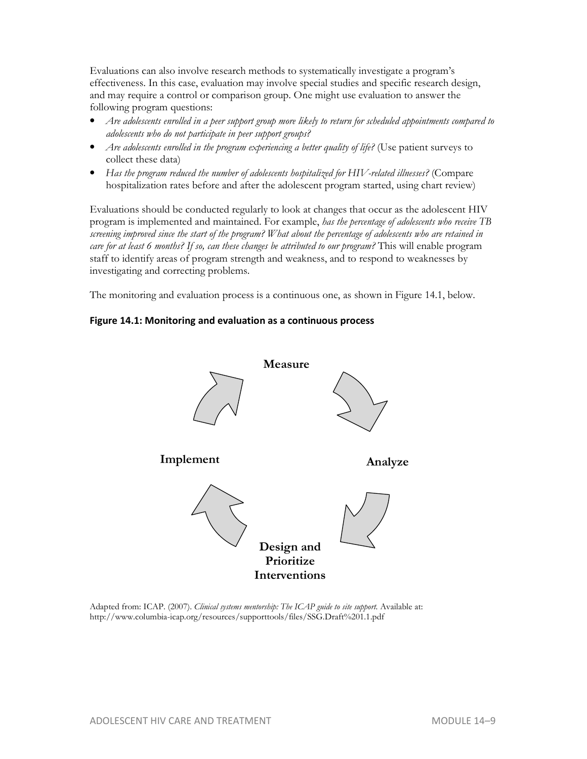Evaluations can also involve research methods to systematically investigate a program's effectiveness. In this case, evaluation may involve special studies and specific research design, and may require a control or comparison group. One might use evaluation to answer the following program questions:

- • *Are adolescents enrolled in a peer support group more likely to return for scheduled appointments compared to adolescents who do not participate in peer support groups?*
- Are adolescents enrolled in the program experiencing a better quality of life? (Use patient surveys to collect these data)
- • *Has the program reduced the number of adolescents hospitalized for HIV-related illnesses?* (Compare hospitalization rates before and after the adolescent program started, using chart review)

Evaluations should be conducted regularly to look at changes that occur as the adolescent HIV program is implemented and maintained. For example, *has the percentage of adolescents who receive TB screening improved since the start of the program? What about the percentage of adolescents who are retained in care for at least 6 months? If so, can these changes be attributed to our program?* This will enable program staff to identify areas of program strength and weakness, and to respond to weaknesses by investigating and correcting problems.

The monitoring and evaluation process is a continuous one, as shown in Figure 14.1, below.

#### **Figure 14.1: Monitoring and evaluation as a continuous process**



Adapted from: ICAP. (2007). *Clinical systems mentorship: The ICAP guide to site support*. Available at: http://www.columbia-icap.org/resources/supporttools/files/SSG.Draft%201.1.pdf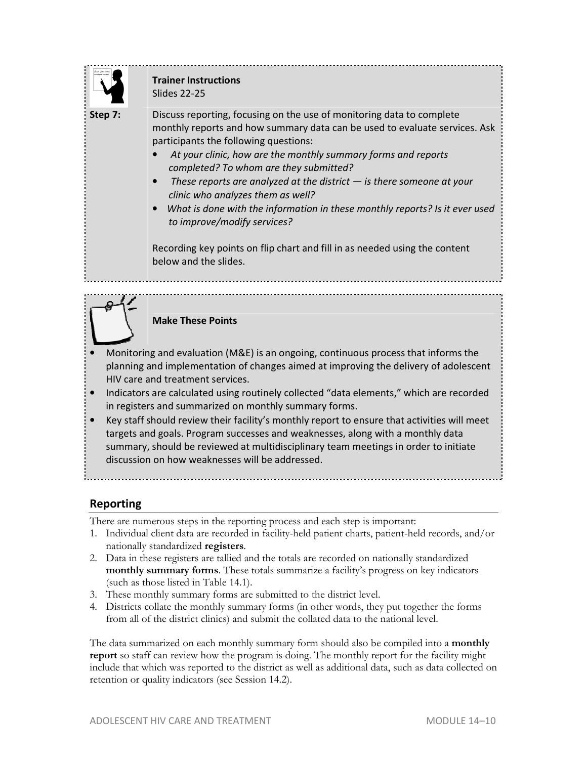

### **Trainer Instructions**  Slides 22-25

**Step 7:** Discuss reporting, focusing on the use of monitoring data to complete monthly reports and how summary data can be used to evaluate services. Ask participants the following questions:

- *At your clinic, how are the monthly summary forms and reports completed? To whom are they submitted?*
- *These reports are analyzed at the district is there someone at your clinic who analyzes them as well?*
- *What is done with the information in these monthly reports? Is it ever used to improve/modify services?*

Recording key points on flip chart and fill in as needed using the content below and the slides.

### **Make These Points**

- Monitoring and evaluation (M&E) is an ongoing, continuous process that informs the planning and implementation of changes aimed at improving the delivery of adolescent HIV care and treatment services.
- Indicators are calculated using routinely collected "data elements," which are recorded in registers and summarized on monthly summary forms.
- Key staff should review their facility's monthly report to ensure that activities will meet targets and goals. Program successes and weaknesses, along with a monthly data summary, should be reviewed at multidisciplinary team meetings in order to initiate discussion on how weaknesses will be addressed.

## **Reporting**

There are numerous steps in the reporting process and each step is important:

- 1. Individual client data are recorded in facility-held patient charts, patient-held records, and/or nationally standardized **registers**.
- 2. Data in these registers are tallied and the totals are recorded on nationally standardized **monthly summary forms**. These totals summarize a facility's progress on key indicators (such as those listed in Table 14.1).
- 3. These monthly summary forms are submitted to the district level.
- 4. Districts collate the monthly summary forms (in other words, they put together the forms from all of the district clinics) and submit the collated data to the national level.

The data summarized on each monthly summary form should also be compiled into a **monthly report** so staff can review how the program is doing. The monthly report for the facility might include that which was reported to the district as well as additional data, such as data collected on retention or quality indicators (see Session 14.2).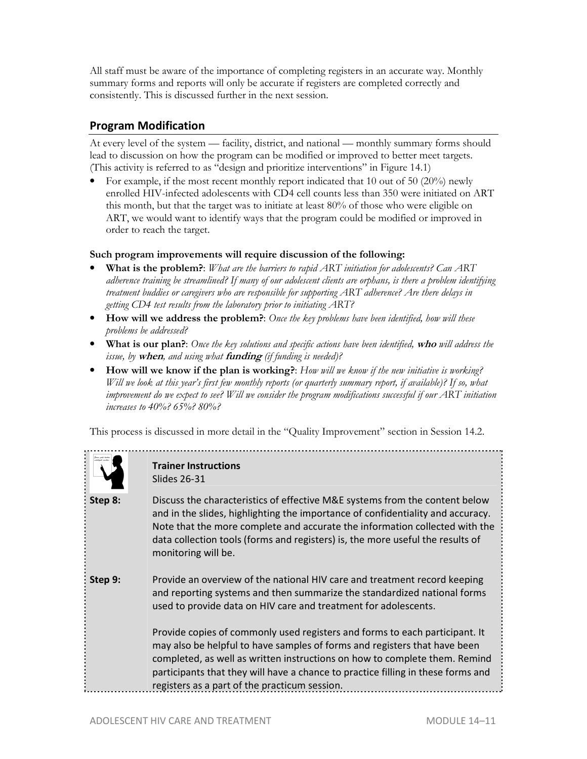All staff must be aware of the importance of completing registers in an accurate way. Monthly summary forms and reports will only be accurate if registers are completed correctly and consistently. This is discussed further in the next session.

### **Program Modification**

At every level of the system — facility, district, and national — monthly summary forms should lead to discussion on how the program can be modified or improved to better meet targets. (This activity is referred to as "design and prioritize interventions" in Figure 14.1)

• For example, if the most recent monthly report indicated that 10 out of 50 (20%) newly enrolled HIV-infected adolescents with CD4 cell counts less than 350 were initiated on ART this month, but that the target was to initiate at least 80% of those who were eligible on ART, we would want to identify ways that the program could be modified or improved in order to reach the target.

#### **Such program improvements will require discussion of the following:**

- **What is the problem?**: *What are the barriers to rapid ART initiation for adolescents? Can ART adherence training be streamlined? If many of our adolescent clients are orphans, is there a problem identifying treatment buddies or caregivers who are responsible for supporting ART adherence? Are there delays in getting CD4 test results from the laboratory prior to initiating ART?*
- **How will we address the problem?**: *Once the key problems have been identified, how will these problems be addressed?*
- **What is our plan?**: *Once the key solutions and specific actions have been identified,* **who** *will address the issue, by* **when***, and using what* **funding** *(if funding is needed)?*
- **How will we know if the plan is working?**: *How will we know if the new initiative is working? Will we look at this year's first few monthly reports (or quarterly summary report, if available)?* If so, what *improvement do we expect to see? Will we consider the program modifications successful if our ART initiation increases to 40%? 65%? 80%?*

This process is discussed in more detail in the "Quality Improvement" section in Session 14.2.



### **Trainer Instructions**  Slides 26-31

**Step 8:** Discuss the characteristics of effective M&E systems from the content below and in the slides, highlighting the importance of confidentiality and accuracy. Note that the more complete and accurate the information collected with the data collection tools (forms and registers) is, the more useful the results of monitoring will be.

**Step 9:** Provide an overview of the national HIV care and treatment record keeping and reporting systems and then summarize the standardized national forms used to provide data on HIV care and treatment for adolescents.

> Provide copies of commonly used registers and forms to each participant. It may also be helpful to have samples of forms and registers that have been completed, as well as written instructions on how to complete them. Remind participants that they will have a chance to practice filling in these forms and registers as a part of the practicum session.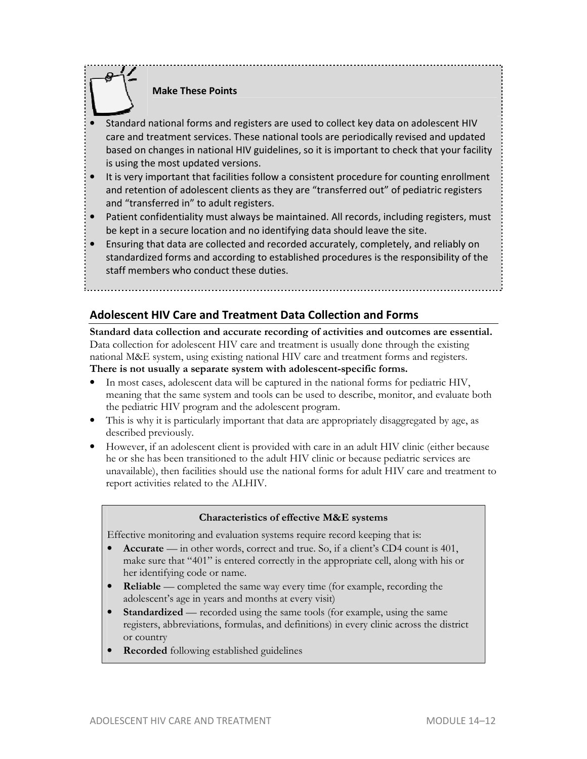### **Make These Points**

- Standard national forms and registers are used to collect key data on adolescent HIV care and treatment services. These national tools are periodically revised and updated based on changes in national HIV guidelines, so it is important to check that your facility is using the most updated versions.
- It is very important that facilities follow a consistent procedure for counting enrollment and retention of adolescent clients as they are "transferred out" of pediatric registers and "transferred in" to adult registers.
- Patient confidentiality must always be maintained. All records, including registers, must be kept in a secure location and no identifying data should leave the site.
- Ensuring that data are collected and recorded accurately, completely, and reliably on standardized forms and according to established procedures is the responsibility of the staff members who conduct these duties.

### **Adolescent HIV Care and Treatment Data Collection and Forms**

**Standard data collection and accurate recording of activities and outcomes are essential.**  Data collection for adolescent HIV care and treatment is usually done through the existing national M&E system, using existing national HIV care and treatment forms and registers. **There is not usually a separate system with adolescent-specific forms.**

- In most cases, adolescent data will be captured in the national forms for pediatric HIV, meaning that the same system and tools can be used to describe, monitor, and evaluate both the pediatric HIV program and the adolescent program.
- This is why it is particularly important that data are appropriately disaggregated by age, as described previously.
- However, if an adolescent client is provided with care in an adult HIV clinic (either because he or she has been transitioned to the adult HIV clinic or because pediatric services are unavailable), then facilities should use the national forms for adult HIV care and treatment to report activities related to the ALHIV.

#### **Characteristics of effective M&E systems**

Effective monitoring and evaluation systems require record keeping that is:

- **Accurate** in other words, correct and true. So, if a client's CD4 count is 401, make sure that "401" is entered correctly in the appropriate cell, along with his or her identifying code or name.
- **Reliable** completed the same way every time (for example, recording the adolescent's age in years and months at every visit)
- **Standardized** recorded using the same tools (for example, using the same registers, abbreviations, formulas, and definitions) in every clinic across the district or country
- **Recorded** following established guidelines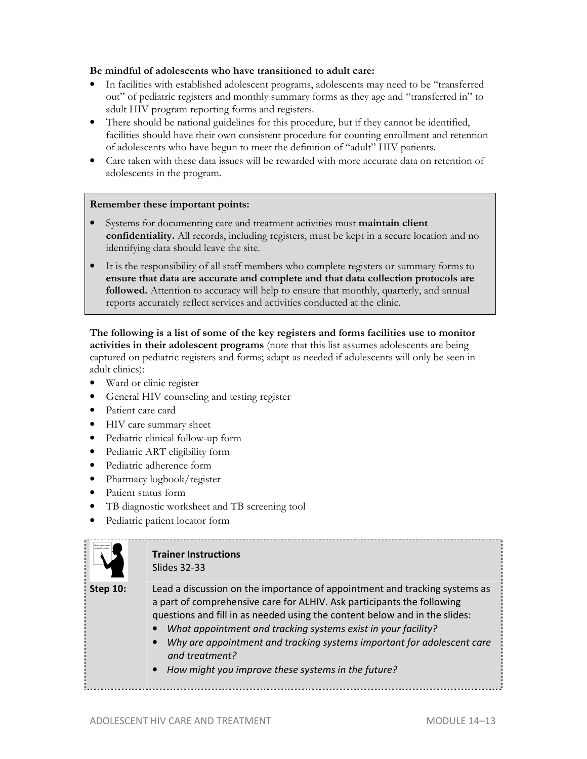#### **Be mindful of adolescents who have transitioned to adult care:**

- In facilities with established adolescent programs, adolescents may need to be "transferred out" of pediatric registers and monthly summary forms as they age and "transferred in" to adult HIV program reporting forms and registers.
- There should be national guidelines for this procedure, but if they cannot be identified, facilities should have their own consistent procedure for counting enrollment and retention of adolescents who have begun to meet the definition of "adult" HIV patients.
- Care taken with these data issues will be rewarded with more accurate data on retention of adolescents in the program.

#### **Remember these important points:**

- Systems for documenting care and treatment activities must **maintain client confidentiality.** All records, including registers, must be kept in a secure location and no identifying data should leave the site.
- It is the responsibility of all staff members who complete registers or summary forms to **ensure that data are accurate and complete and that data collection protocols are followed.** Attention to accuracy will help to ensure that monthly, quarterly, and annual reports accurately reflect services and activities conducted at the clinic.

**The following is a list of some of the key registers and forms facilities use to monitor activities in their adolescent programs** (note that this list assumes adolescents are being captured on pediatric registers and forms; adapt as needed if adolescents will only be seen in adult clinics):

- Ward or clinic register
- General HIV counseling and testing register
- Patient care card
- HIV care summary sheet
- Pediatric clinical follow-up form
- Pediatric ART eligibility form
- Pediatric adherence form
- Pharmacy logbook/register
- Patient status form
- TB diagnostic worksheet and TB screening tool
- Pediatric patient locator form



#### **Trainer Instructions**  Slides 32-33

### **Step 10:** Lead a discussion on the importance of appointment and tracking systems as a part of comprehensive care for ALHIV. Ask participants the following questions and fill in as needed using the content below and in the slides:

- *What appointment and tracking systems exist in your facility?*
- *Why are appointment and tracking systems important for adolescent care and treatment?*
- *How might you improve these systems in the future?*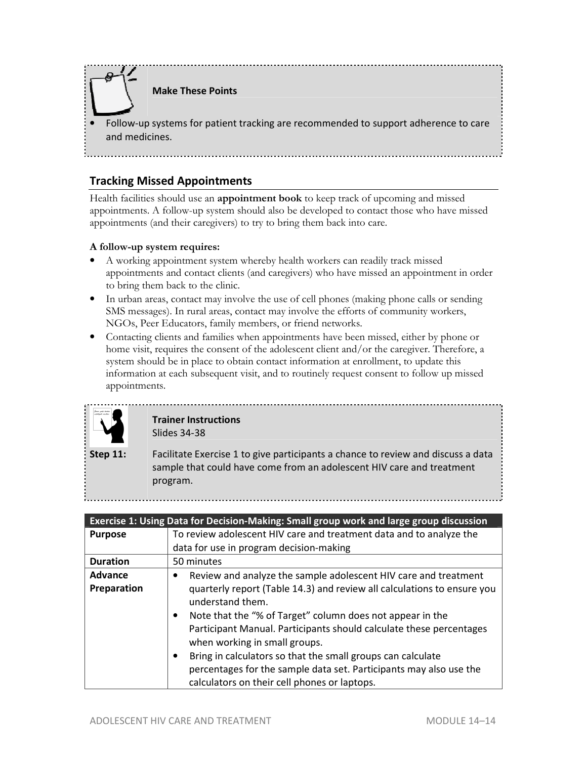

**Make These Points** 

• Follow-up systems for patient tracking are recommended to support adherence to care and medicines.

### **Tracking Missed Appointments**

Health facilities should use an **appointment book** to keep track of upcoming and missed appointments. A follow-up system should also be developed to contact those who have missed appointments (and their caregivers) to try to bring them back into care.

#### **A follow-up system requires:**

- A working appointment system whereby health workers can readily track missed appointments and contact clients (and caregivers) who have missed an appointment in order to bring them back to the clinic.
- In urban areas, contact may involve the use of cell phones (making phone calls or sending SMS messages). In rural areas, contact may involve the efforts of community workers, NGOs, Peer Educators, family members, or friend networks.
- Contacting clients and families when appointments have been missed, either by phone or home visit, requires the consent of the adolescent client and/or the caregiver. Therefore, a system should be in place to obtain contact information at enrollment, to update this information at each subsequent visit, and to routinely request consent to follow up missed appointments.



#### **Trainer Instructions**  Slides 34-38

**Step 11:** Facilitate Exercise 1 to give participants a chance to review and discuss a data sample that could have come from an adolescent HIV care and treatment program.

|                 | Exercise 1: Using Data for Decision-Making: Small group work and large group discussion                                                                                                                                                                                       |
|-----------------|-------------------------------------------------------------------------------------------------------------------------------------------------------------------------------------------------------------------------------------------------------------------------------|
| <b>Purpose</b>  | To review adolescent HIV care and treatment data and to analyze the                                                                                                                                                                                                           |
|                 | data for use in program decision-making                                                                                                                                                                                                                                       |
| <b>Duration</b> | 50 minutes                                                                                                                                                                                                                                                                    |
| <b>Advance</b>  | Review and analyze the sample adolescent HIV care and treatment                                                                                                                                                                                                               |
| Preparation     | quarterly report (Table 14.3) and review all calculations to ensure you<br>understand them.<br>Note that the "% of Target" column does not appear in the<br>$\bullet$<br>Participant Manual. Participants should calculate these percentages<br>when working in small groups. |
|                 | Bring in calculators so that the small groups can calculate<br>$\bullet$<br>percentages for the sample data set. Participants may also use the<br>calculators on their cell phones or laptops.                                                                                |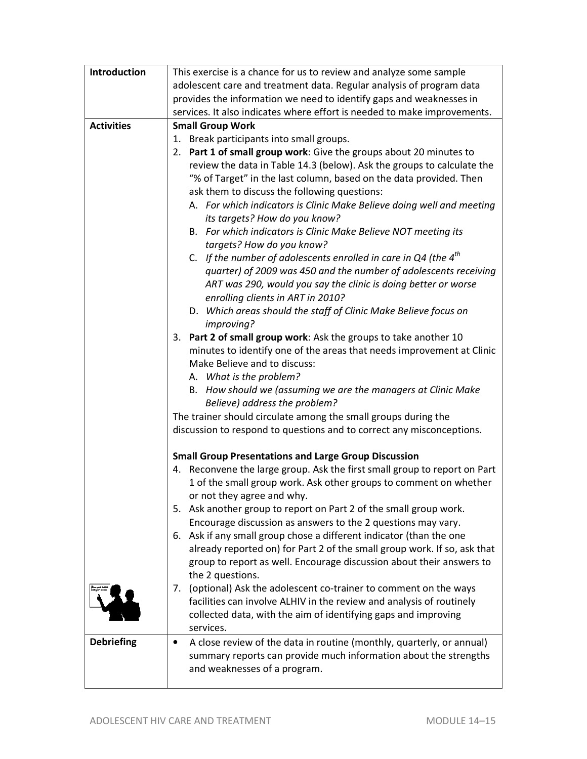| Introduction      | This exercise is a chance for us to review and analyze some sample         |
|-------------------|----------------------------------------------------------------------------|
|                   | adolescent care and treatment data. Regular analysis of program data       |
|                   | provides the information we need to identify gaps and weaknesses in        |
|                   | services. It also indicates where effort is needed to make improvements.   |
| <b>Activities</b> | <b>Small Group Work</b>                                                    |
|                   | 1. Break participants into small groups.                                   |
|                   | Part 1 of small group work: Give the groups about 20 minutes to<br>2.      |
|                   | review the data in Table 14.3 (below). Ask the groups to calculate the     |
|                   | "% of Target" in the last column, based on the data provided. Then         |
|                   | ask them to discuss the following questions:                               |
|                   | A. For which indicators is Clinic Make Believe doing well and meeting      |
|                   | its targets? How do you know?                                              |
|                   | B. For which indicators is Clinic Make Believe NOT meeting its             |
|                   | targets? How do you know?                                                  |
|                   | C. If the number of adolescents enrolled in care in Q4 (the $4^{th}$       |
|                   | quarter) of 2009 was 450 and the number of adolescents receiving           |
|                   | ART was 290, would you say the clinic is doing better or worse             |
|                   | enrolling clients in ART in 2010?                                          |
|                   | D. Which areas should the staff of Clinic Make Believe focus on            |
|                   | improving?                                                                 |
|                   | 3. Part 2 of small group work: Ask the groups to take another 10           |
|                   | minutes to identify one of the areas that needs improvement at Clinic      |
|                   | Make Believe and to discuss:                                               |
|                   | A. What is the problem?                                                    |
|                   | B. How should we (assuming we are the managers at Clinic Make              |
|                   | Believe) address the problem?                                              |
|                   | The trainer should circulate among the small groups during the             |
|                   | discussion to respond to questions and to correct any misconceptions.      |
|                   | <b>Small Group Presentations and Large Group Discussion</b>                |
|                   | 4. Reconvene the large group. Ask the first small group to report on Part  |
|                   | 1 of the small group work. Ask other groups to comment on whether          |
|                   | or not they agree and why.                                                 |
|                   | Ask another group to report on Part 2 of the small group work.<br>5.       |
|                   | Encourage discussion as answers to the 2 questions may vary.               |
|                   | 6. Ask if any small group chose a different indicator (than the one        |
|                   | already reported on) for Part 2 of the small group work. If so, ask that   |
|                   | group to report as well. Encourage discussion about their answers to       |
|                   | the 2 questions.                                                           |
|                   | 7. (optional) Ask the adolescent co-trainer to comment on the ways         |
|                   | facilities can involve ALHIV in the review and analysis of routinely       |
|                   | collected data, with the aim of identifying gaps and improving             |
|                   | services.                                                                  |
| <b>Debriefing</b> | A close review of the data in routine (monthly, quarterly, or annual)<br>٠ |
|                   | summary reports can provide much information about the strengths           |
|                   | and weaknesses of a program.                                               |
|                   |                                                                            |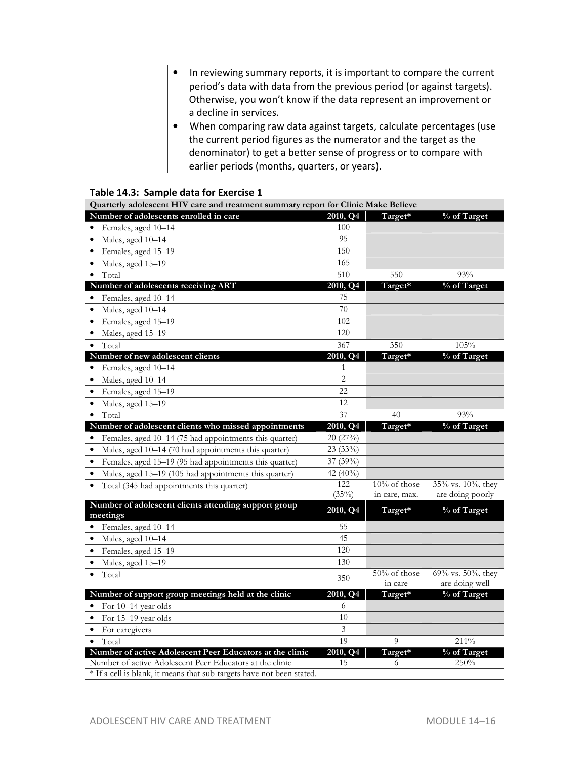| In reviewing summary reports, it is important to compare the current<br>$\bullet$<br>period's data with data from the previous period (or against targets).<br>Otherwise, you won't know if the data represent an improvement or<br>a decline in services.                  |
|-----------------------------------------------------------------------------------------------------------------------------------------------------------------------------------------------------------------------------------------------------------------------------|
| When comparing raw data against targets, calculate percentages (use<br>$\bullet$<br>the current period figures as the numerator and the target as the<br>denominator) to get a better sense of progress or to compare with<br>earlier periods (months, quarters, or years). |

#### **Table 14.3: Sample data for Exercise 1**

| Quarterly adolescent HIV care and treatment summary report for Clinic Make Believe |                 |                                  |                                       |  |  |  |
|------------------------------------------------------------------------------------|-----------------|----------------------------------|---------------------------------------|--|--|--|
| Number of adolescents enrolled in care                                             | 2010, Q4        | Target*                          | % of Target                           |  |  |  |
| Females, aged 10-14<br>$\bullet$                                                   | 100             |                                  |                                       |  |  |  |
| Males, aged 10-14<br>$\bullet$                                                     | 95              |                                  |                                       |  |  |  |
| Females, aged 15-19<br>$\bullet$                                                   | 150             |                                  |                                       |  |  |  |
| Males, aged 15-19<br>$\bullet$                                                     | 165             |                                  |                                       |  |  |  |
| Total<br>$\bullet$                                                                 | 510             | 550                              | 93%                                   |  |  |  |
| Number of adolescents receiving ART                                                | 2010, Q4        | Target*                          | % of Target                           |  |  |  |
| Females, aged 10-14<br>$\bullet$                                                   | 75              |                                  |                                       |  |  |  |
| Males, aged 10-14<br>$\bullet$                                                     | 70              |                                  |                                       |  |  |  |
| Females, aged 15-19<br>$\bullet$                                                   | 102             |                                  |                                       |  |  |  |
| Males, aged 15-19<br>$\bullet$                                                     | 120             |                                  |                                       |  |  |  |
| Total<br>$\bullet$                                                                 | 367             | 350                              | 105%                                  |  |  |  |
| Number of new adolescent clients                                                   | 2010, Q4        | Target*                          | % of Target                           |  |  |  |
| Females, aged 10-14<br>$\bullet$                                                   | $\mathbf{1}$    |                                  |                                       |  |  |  |
| Males, aged 10-14<br>$\bullet$                                                     | $\overline{2}$  |                                  |                                       |  |  |  |
| Females, aged 15-19<br>$\bullet$                                                   | 22              |                                  |                                       |  |  |  |
| Males, aged 15-19<br>$\bullet$                                                     | 12              |                                  |                                       |  |  |  |
| Total<br>$\bullet$                                                                 | 37              | 40                               | 93%                                   |  |  |  |
| Number of adolescent clients who missed appointments                               | 2010, Q4        | Target*                          | % of Target                           |  |  |  |
| Females, aged 10-14 (75 had appointments this quarter)<br>$\bullet$                | 20 (27%)        |                                  |                                       |  |  |  |
| Males, aged 10-14 (70 had appointments this quarter)<br>$\bullet$                  | 23 (33%)        |                                  |                                       |  |  |  |
| Females, aged 15-19 (95 had appointments this quarter)<br>$\bullet$                | 37 (39%)        |                                  |                                       |  |  |  |
| Males, aged 15-19 (105 had appointments this quarter)<br>$\bullet$                 | 42 (40%)        |                                  |                                       |  |  |  |
| Total (345 had appointments this quarter)<br>$\bullet$                             | 122<br>$(35\%)$ | $10\%$ of those<br>in care, max. | 35% vs. 10%, they<br>are doing poorly |  |  |  |
| Number of adolescent clients attending support group<br>meetings                   | 2010, Q4        | Target*                          | % of Target                           |  |  |  |
| Females, aged 10-14<br>$\bullet$                                                   | 55              |                                  |                                       |  |  |  |
| Males, aged 10-14<br>$\bullet$                                                     | 45              |                                  |                                       |  |  |  |
| Females, aged 15-19<br>$\bullet$                                                   | 120             |                                  |                                       |  |  |  |
| Males, aged 15-19<br>$\bullet$                                                     | 130             |                                  |                                       |  |  |  |
| Total<br>$\bullet$                                                                 | 350             | 50% of those<br>in care          | 69% vs. 50%, they<br>are doing well   |  |  |  |
| Number of support group meetings held at the clinic                                | 2010, Q4        | Target*                          | % of Target                           |  |  |  |
| For 10-14 year olds<br>$\bullet$                                                   | 6               |                                  |                                       |  |  |  |
| For 15-19 year olds<br>$\bullet$                                                   | 10              |                                  |                                       |  |  |  |
| For caregivers<br>$\bullet$                                                        | 3               |                                  |                                       |  |  |  |
| Total                                                                              | 19              | $\overline{Q}$                   | 211%                                  |  |  |  |
| Number of active Adolescent Peer Educators at the clinic                           | 2010, Q4        | Target*                          | % of Target                           |  |  |  |
| Number of active Adolescent Peer Educators at the clinic                           | 15              | 6                                | 250%                                  |  |  |  |
| * If a cell is blank, it means that sub-targets have not been stated.              |                 |                                  |                                       |  |  |  |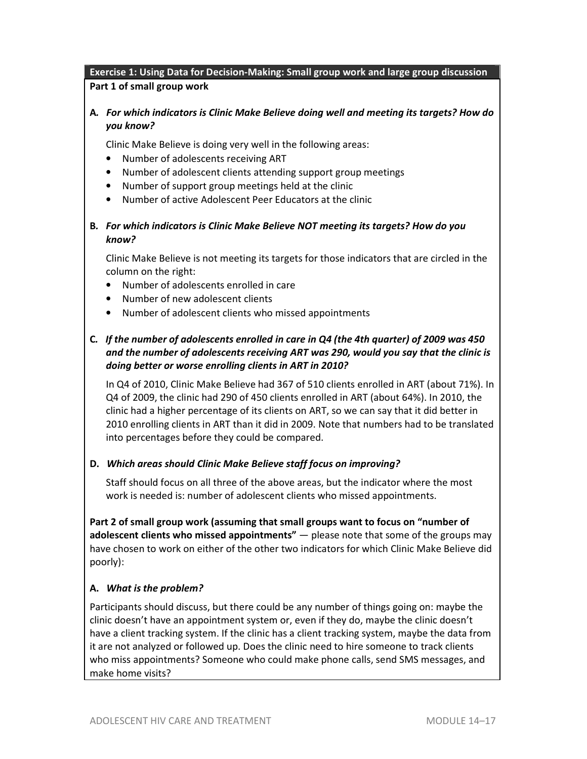### **Exercise 1: Using Data for Decision-Making: Small group work and large group discussion Part 1 of small group work**

### **A***. For which indicators is Clinic Make Believe doing well and meeting its targets? How do you know?*

Clinic Make Believe is doing very well in the following areas:

- Number of adolescents receiving ART
- Number of adolescent clients attending support group meetings
- Number of support group meetings held at the clinic
- Number of active Adolescent Peer Educators at the clinic

#### **B***. For which indicators is Clinic Make Believe NOT meeting its targets? How do you know?*

Clinic Make Believe is not meeting its targets for those indicators that are circled in the column on the right:

- Number of adolescents enrolled in care
- Number of new adolescent clients
- Number of adolescent clients who missed appointments

### **C***. If the number of adolescents enrolled in care in Q4 (the 4th quarter) of 2009 was 450 and the number of adolescents receiving ART was 290, would you say that the clinic is doing better or worse enrolling clients in ART in 2010?*

In Q4 of 2010, Clinic Make Believe had 367 of 510 clients enrolled in ART (about 71%). In Q4 of 2009, the clinic had 290 of 450 clients enrolled in ART (about 64%). In 2010, the clinic had a higher percentage of its clients on ART, so we can say that it did better in 2010 enrolling clients in ART than it did in 2009. Note that numbers had to be translated into percentages before they could be compared.

#### **D.** *Which areas should Clinic Make Believe staff focus on improving?*

Staff should focus on all three of the above areas, but the indicator where the most work is needed is: number of adolescent clients who missed appointments.

**Part 2 of small group work (assuming that small groups want to focus on "number of adolescent clients who missed appointments"** — please note that some of the groups may have chosen to work on either of the other two indicators for which Clinic Make Believe did poorly):

#### **A.** *What is the problem?*

Participants should discuss, but there could be any number of things going on: maybe the clinic doesn't have an appointment system or, even if they do, maybe the clinic doesn't have a client tracking system. If the clinic has a client tracking system, maybe the data from it are not analyzed or followed up. Does the clinic need to hire someone to track clients who miss appointments? Someone who could make phone calls, send SMS messages, and make home visits?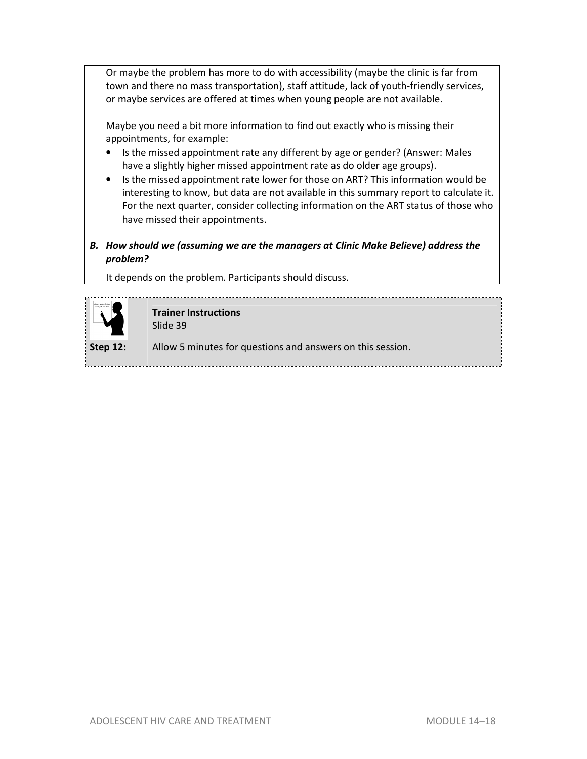Or maybe the problem has more to do with accessibility (maybe the clinic is far from town and there no mass transportation), staff attitude, lack of youth-friendly services, or maybe services are offered at times when young people are not available.

Maybe you need a bit more information to find out exactly who is missing their appointments, for example:

- Is the missed appointment rate any different by age or gender? (Answer: Males have a slightly higher missed appointment rate as do older age groups).
- Is the missed appointment rate lower for those on ART? This information would be interesting to know, but data are not available in this summary report to calculate it. For the next quarter, consider collecting information on the ART status of those who have missed their appointments.
- *B. How should we (assuming we are the managers at Clinic Make Believe) address the problem?*

It depends on the problem. Participants should discuss.



**Trainer Instructions**  Slide 39

**Step 12:** Allow 5 minutes for questions and answers on this session.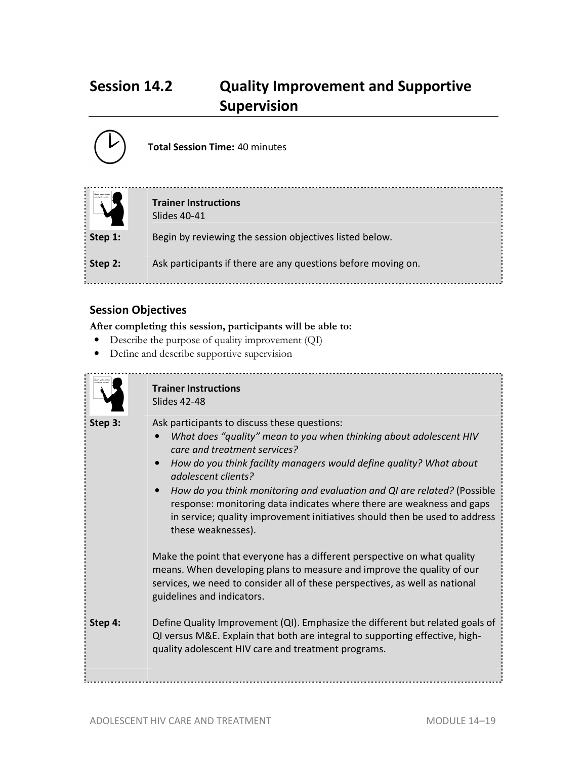## **Session 14.2 Quality Improvement and Supportive Supervision**



**Total Session Time:** 40 minutes

|         | <b>Trainer Instructions</b><br>Slides 40-41                   |
|---------|---------------------------------------------------------------|
| Step 1: | Begin by reviewing the session objectives listed below.       |
| Step 2: | Ask participants if there are any questions before moving on. |

## **Session Objectives**

**After completing this session, participants will be able to:**

- Describe the purpose of quality improvement (QI)
- Define and describe supportive supervision



#### **Trainer Instructions**  Slides 42-48

**Step 3:** Ask participants to discuss these questions:

- *What does "quality" mean to you when thinking about adolescent HIV care and treatment services?*
- *How do you think facility managers would define quality? What about adolescent clients?*
- *How do you think monitoring and evaluation and QI are related?* (Possible response: monitoring data indicates where there are weakness and gaps in service; quality improvement initiatives should then be used to address these weaknesses).

Make the point that everyone has a different perspective on what quality means. When developing plans to measure and improve the quality of our services, we need to consider all of these perspectives, as well as national guidelines and indicators.

**Step 4:** Define Quality Improvement (QI). Emphasize the different but related goals of QI versus M&E. Explain that both are integral to supporting effective, highquality adolescent HIV care and treatment programs.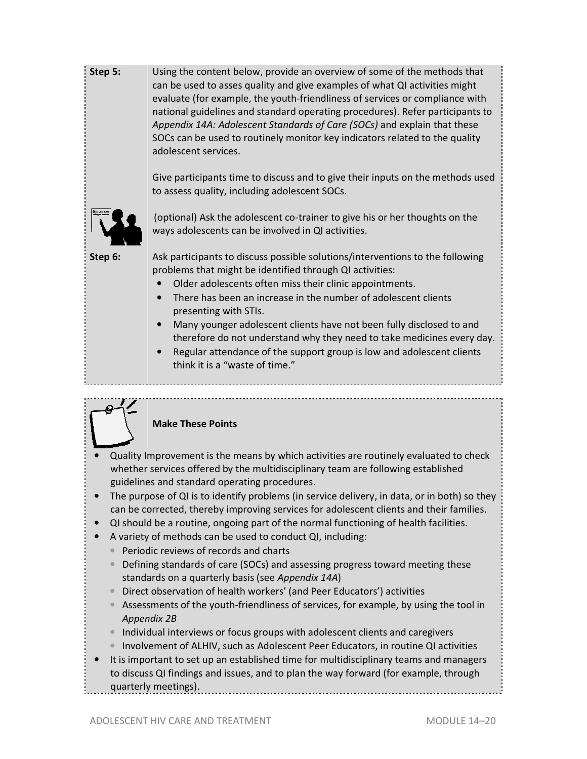**Step 5:** Using the content below, provide an overview of some of the methods that can be used to asses quality and give examples of what QI activities might evaluate (for example, the youth-friendliness of services or compliance with national guidelines and standard operating procedures). Refer participants to *Appendix 14A: Adolescent Standards of Care (SOCs)* and explain that these SOCs can be used to routinely monitor key indicators related to the quality adolescent services.

> Give participants time to discuss and to give their inputs on the methods used to assess quality, including adolescent SOCs.



 (optional) Ask the adolescent co-trainer to give his or her thoughts on the ways adolescents can be involved in QI activities.

**Step 6:** Ask participants to discuss possible solutions/interventions to the following problems that might be identified through QI activities:

- Older adolescents often miss their clinic appointments.
- There has been an increase in the number of adolescent clients presenting with STIs.
- Many younger adolescent clients have not been fully disclosed to and therefore do not understand why they need to take medicines every day.
- Regular attendance of the support group is low and adolescent clients think it is a "waste of time."

### **Make These Points**

- Quality Improvement is the means by which activities are routinely evaluated to check whether services offered by the multidisciplinary team are following established guidelines and standard operating procedures.
- The purpose of QI is to identify problems (in service delivery, in data, or in both) so they can be corrected, thereby improving services for adolescent clients and their families.
- QI should be a routine, ongoing part of the normal functioning of health facilities.
- A variety of methods can be used to conduct QI, including:
	- Periodic reviews of records and charts
	- Defining standards of care (SOCs) and assessing progress toward meeting these standards on a quarterly basis (see *Appendix 14A*)
	- Direct observation of health workers' (and Peer Educators') activities
	- Assessments of the youth-friendliness of services, for example, by using the tool in *Appendix 2B*
	- Individual interviews or focus groups with adolescent clients and caregivers
	- Involvement of ALHIV, such as Adolescent Peer Educators, in routine QI activities
- It is important to set up an established time for multidisciplinary teams and managers to discuss QI findings and issues, and to plan the way forward (for example, through quarterly meetings).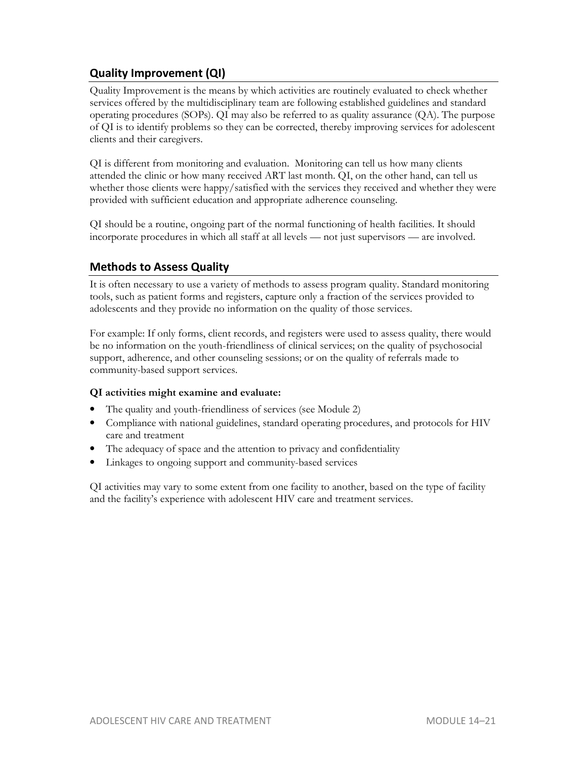### **Quality Improvement (QI)**

Quality Improvement is the means by which activities are routinely evaluated to check whether services offered by the multidisciplinary team are following established guidelines and standard operating procedures (SOPs). QI may also be referred to as quality assurance (QA). The purpose of QI is to identify problems so they can be corrected, thereby improving services for adolescent clients and their caregivers.

QI is different from monitoring and evaluation. Monitoring can tell us how many clients attended the clinic or how many received ART last month. QI, on the other hand, can tell us whether those clients were happy/satisfied with the services they received and whether they were provided with sufficient education and appropriate adherence counseling.

QI should be a routine, ongoing part of the normal functioning of health facilities. It should incorporate procedures in which all staff at all levels — not just supervisors — are involved.

### **Methods to Assess Quality**

It is often necessary to use a variety of methods to assess program quality. Standard monitoring tools, such as patient forms and registers, capture only a fraction of the services provided to adolescents and they provide no information on the quality of those services.

For example: If only forms, client records, and registers were used to assess quality, there would be no information on the youth-friendliness of clinical services; on the quality of psychosocial support, adherence, and other counseling sessions; or on the quality of referrals made to community-based support services.

#### **QI activities might examine and evaluate:**

- The quality and youth-friendliness of services (see Module 2)
- Compliance with national guidelines, standard operating procedures, and protocols for HIV care and treatment
- The adequacy of space and the attention to privacy and confidentiality
- Linkages to ongoing support and community-based services

QI activities may vary to some extent from one facility to another, based on the type of facility and the facility's experience with adolescent HIV care and treatment services.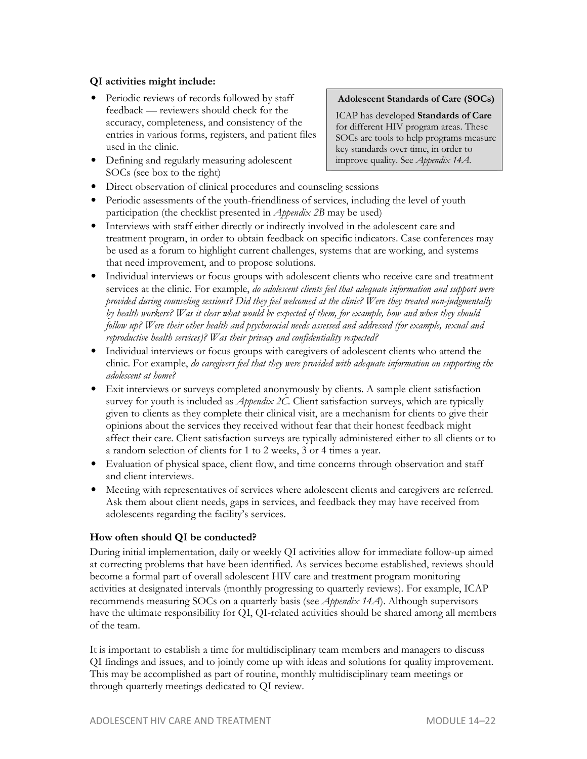#### **QI activities might include:**

- Periodic reviews of records followed by staff feedback — reviewers should check for the accuracy, completeness, and consistency of the entries in various forms, registers, and patient files used in the clinic.
- Defining and regularly measuring adolescent SOCs (see box to the right)

#### **Adolescent Standards of Care (SOCs)**

ICAP has developed **Standards of Care**  for different HIV program areas. These SOCs are tools to help programs measure key standards over time, in order to improve quality. See *Appendix 14A.*

- Direct observation of clinical procedures and counseling sessions
- Periodic assessments of the youth-friendliness of services, including the level of youth participation (the checklist presented in *Appendix 2B* may be used)
- Interviews with staff either directly or indirectly involved in the adolescent care and treatment program, in order to obtain feedback on specific indicators. Case conferences may be used as a forum to highlight current challenges, systems that are working, and systems that need improvement, and to propose solutions.
- Individual interviews or focus groups with adolescent clients who receive care and treatment services at the clinic. For example, *do adolescent clients feel that adequate information and support were provided during counseling sessions? Did they feel welcomed at the clinic? Were they treated non-judgmentally by health workers? Was it clear what would be expected of them, for example, how and when they should follow up? Were their other health and psychosocial needs assessed and addressed (for example, sexual and reproductive health services)? Was their privacy and confidentiality respected?*
- Individual interviews or focus groups with caregivers of adolescent clients who attend the clinic. For example, *do caregivers feel that they were provided with adequate information on supporting the adolescent at home?*
- Exit interviews or surveys completed anonymously by clients. A sample client satisfaction survey for youth is included as *Appendix 2C*. Client satisfaction surveys, which are typically given to clients as they complete their clinical visit, are a mechanism for clients to give their opinions about the services they received without fear that their honest feedback might affect their care. Client satisfaction surveys are typically administered either to all clients or to a random selection of clients for 1 to 2 weeks, 3 or 4 times a year.
- Evaluation of physical space, client flow, and time concerns through observation and staff and client interviews.
- Meeting with representatives of services where adolescent clients and caregivers are referred. Ask them about client needs, gaps in services, and feedback they may have received from adolescents regarding the facility's services.

#### **How often should QI be conducted?**

During initial implementation, daily or weekly QI activities allow for immediate follow-up aimed at correcting problems that have been identified. As services become established, reviews should become a formal part of overall adolescent HIV care and treatment program monitoring activities at designated intervals (monthly progressing to quarterly reviews). For example, ICAP recommends measuring SOCs on a quarterly basis (see *Appendix 14A*). Although supervisors have the ultimate responsibility for QI, QI-related activities should be shared among all members of the team.

It is important to establish a time for multidisciplinary team members and managers to discuss QI findings and issues, and to jointly come up with ideas and solutions for quality improvement. This may be accomplished as part of routine, monthly multidisciplinary team meetings or through quarterly meetings dedicated to QI review.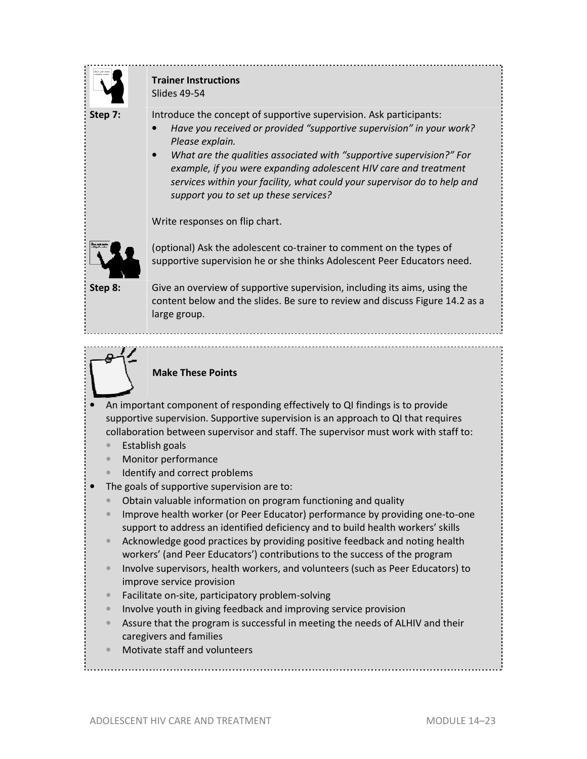

### **Trainer Instructions**  Slides 49-54

**Step 7:** Introduce the concept of supportive supervision. Ask participants:

- *Have you received or provided "supportive supervision" in your work? Please explain.*
- *What are the qualities associated with "supportive supervision?" For example, if you were expanding adolescent HIV care and treatment services within your facility, what could your supervisor do to help and support you to set up these services?*

Write responses on flip chart.



(optional) Ask the adolescent co-trainer to comment on the types of supportive supervision he or she thinks Adolescent Peer Educators need.

**Step 8:** Give an overview of supportive supervision, including its aims, using the content below and the slides. Be sure to review and discuss Figure 14.2 as a large group.



### **Make These Points**

- An important component of responding effectively to QI findings is to provide supportive supervision. Supportive supervision is an approach to QI that requires collaboration between supervisor and staff. The supervisor must work with staff to:
	- Establish goals
	- Monitor performance
	- Identify and correct problems
- The goals of supportive supervision are to:
	- Obtain valuable information on program functioning and quality
	- Improve health worker (or Peer Educator) performance by providing one-to-one support to address an identified deficiency and to build health workers' skills
	- Acknowledge good practices by providing positive feedback and noting health workers' (and Peer Educators') contributions to the success of the program
	- Involve supervisors, health workers, and volunteers (such as Peer Educators) to improve service provision
	- Facilitate on-site, participatory problem-solving
	- Involve youth in giving feedback and improving service provision
	- Assure that the program is successful in meeting the needs of ALHIV and their caregivers and families
	- Motivate staff and volunteers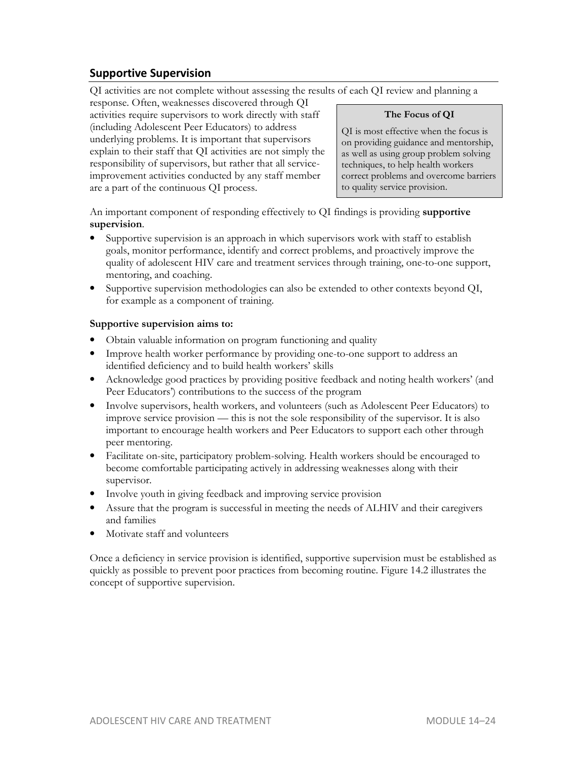### **Supportive Supervision**

QI activities are not complete without assessing the results of each QI review and planning a

response. Often, weaknesses discovered through QI activities require supervisors to work directly with staff (including Adolescent Peer Educators) to address underlying problems. It is important that supervisors explain to their staff that QI activities are not simply the responsibility of supervisors, but rather that all serviceimprovement activities conducted by any staff member are a part of the continuous QI process.

#### **The Focus of QI**

QI is most effective when the focus is on providing guidance and mentorship, as well as using group problem solving techniques, to help health workers correct problems and overcome barriers to quality service provision.

An important component of responding effectively to QI findings is providing **supportive supervision**.

- Supportive supervision is an approach in which supervisors work with staff to establish goals, monitor performance, identify and correct problems, and proactively improve the quality of adolescent HIV care and treatment services through training, one-to-one support, mentoring, and coaching.
- Supportive supervision methodologies can also be extended to other contexts beyond QI, for example as a component of training.

#### **Supportive supervision aims to:**

- Obtain valuable information on program functioning and quality
- Improve health worker performance by providing one-to-one support to address an identified deficiency and to build health workers' skills
- Acknowledge good practices by providing positive feedback and noting health workers' (and Peer Educators') contributions to the success of the program
- Involve supervisors, health workers, and volunteers (such as Adolescent Peer Educators) to improve service provision — this is not the sole responsibility of the supervisor. It is also important to encourage health workers and Peer Educators to support each other through peer mentoring.
- Facilitate on-site, participatory problem-solving. Health workers should be encouraged to become comfortable participating actively in addressing weaknesses along with their supervisor.
- Involve youth in giving feedback and improving service provision
- Assure that the program is successful in meeting the needs of ALHIV and their caregivers and families
- Motivate staff and volunteers

Once a deficiency in service provision is identified, supportive supervision must be established as quickly as possible to prevent poor practices from becoming routine. Figure 14.2 illustrates the concept of supportive supervision.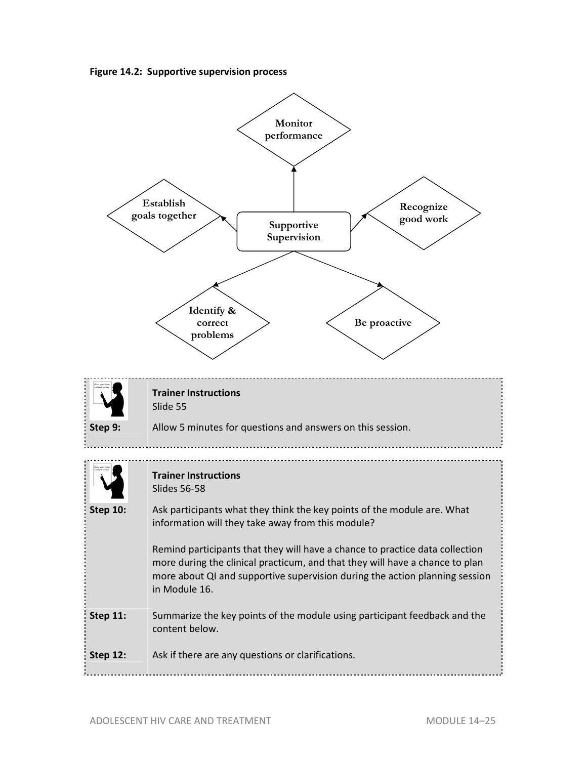**Figure 14.2: Supportive supervision process** 

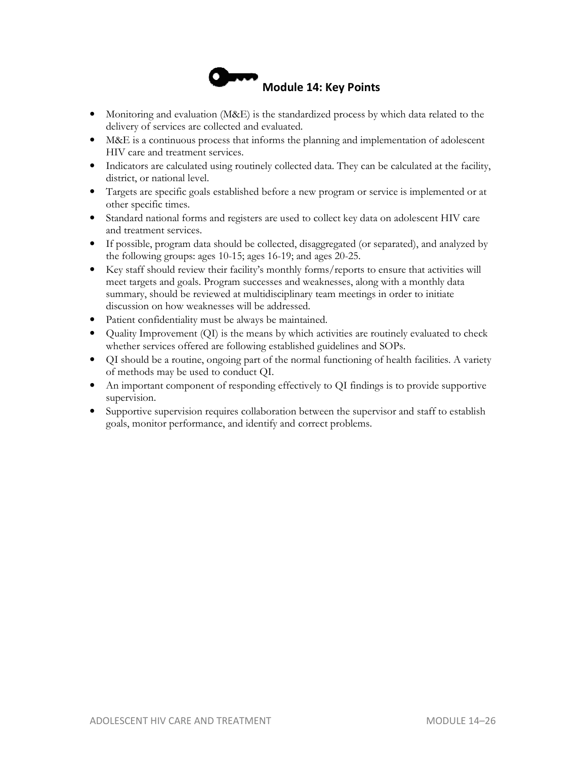

- Monitoring and evaluation (M&E) is the standardized process by which data related to the delivery of services are collected and evaluated.
- M&E is a continuous process that informs the planning and implementation of adolescent HIV care and treatment services.
- Indicators are calculated using routinely collected data. They can be calculated at the facility, district, or national level.
- Targets are specific goals established before a new program or service is implemented or at other specific times.
- Standard national forms and registers are used to collect key data on adolescent HIV care and treatment services.
- If possible, program data should be collected, disaggregated (or separated), and analyzed by the following groups: ages 10-15; ages 16-19; and ages 20-25.
- Key staff should review their facility's monthly forms/reports to ensure that activities will meet targets and goals. Program successes and weaknesses, along with a monthly data summary, should be reviewed at multidisciplinary team meetings in order to initiate discussion on how weaknesses will be addressed.
- Patient confidentiality must be always be maintained.
- Quality Improvement (QI) is the means by which activities are routinely evaluated to check whether services offered are following established guidelines and SOPs.
- QI should be a routine, ongoing part of the normal functioning of health facilities. A variety of methods may be used to conduct QI.
- An important component of responding effectively to QI findings is to provide supportive supervision.
- Supportive supervision requires collaboration between the supervisor and staff to establish goals, monitor performance, and identify and correct problems.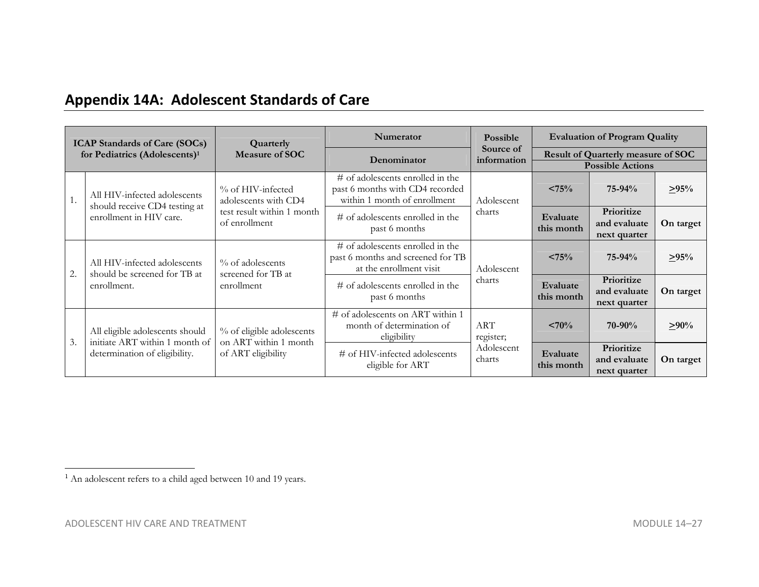## **Appendix 14A: Adolescent Standards of Care**

| <b>ICAP Standards of Care (SOCs)</b><br>for Pediatrics (Adolescents) <sup>1</sup> |                                                                                                    | Quarterly<br><b>Measure of SOC</b>                                                       | <b>Numerator</b>                                                                                       | Possible                                                       | <b>Evaluation of Program Quality</b>                                 |                        |                                            |                                            |
|-----------------------------------------------------------------------------------|----------------------------------------------------------------------------------------------------|------------------------------------------------------------------------------------------|--------------------------------------------------------------------------------------------------------|----------------------------------------------------------------|----------------------------------------------------------------------|------------------------|--------------------------------------------|--------------------------------------------|
|                                                                                   |                                                                                                    |                                                                                          | Denominator                                                                                            | Source of<br>information                                       | <b>Result of Quarterly measure of SOC</b><br><b>Possible Actions</b> |                        |                                            |                                            |
| 1.                                                                                | All HIV-infected adolescents<br>should receive CD4 testing at<br>enrollment in HIV care.           | % of HIV-infected<br>adolescents with CD4<br>test result within 1 month<br>of enrollment | $\#$ of adolescents enrolled in the<br>past 6 months with CD4 recorded<br>within 1 month of enrollment | Adolescent                                                     | $< 75\%$                                                             | $75 - 94%$             | $\geq 95\%$                                |                                            |
|                                                                                   |                                                                                                    |                                                                                          |                                                                                                        | charts<br>$\#$ of adolescents enrolled in the<br>past 6 months |                                                                      | Evaluate<br>this month | Prioritize<br>and evaluate<br>next quarter | On target                                  |
| 2.                                                                                | All HIV-infected adolescents<br>should be screened for TB at<br>enrollment.                        | % of adolescents                                                                         | # of adolescents enrolled in the<br>past 6 months and screened for TB<br>at the enrollment visit       | Adolescent                                                     |                                                                      | $< 75\%$               | $75 - 94%$                                 | >95%                                       |
|                                                                                   |                                                                                                    |                                                                                          | screened for TB at<br>enrollment                                                                       |                                                                | $\#$ of adolescents enrolled in the<br>past 6 months                 | charts                 | Evaluate<br>this month                     | Prioritize<br>and evaluate<br>next quarter |
| 3.                                                                                | All eligible adolescents should<br>initiate ART within 1 month of<br>determination of eligibility. | % of eligible adolescents<br>on ART within 1 month                                       | # of adolescents on ART within 1<br>month of determination of<br>eligibility                           | <b>ART</b><br>register;                                        | < 70%                                                                | $70 - 90\%$            | $\geq 90\%$                                |                                            |
|                                                                                   |                                                                                                    |                                                                                          | of ART eligibility                                                                                     |                                                                | # of HIV-infected adolescents<br>eligible for ART                    | Adolescent<br>charts   | Evaluate<br>this month                     | Prioritize<br>and evaluate<br>next quarter |

<sup>&</sup>lt;sup>1</sup> An adolescent refers to a child aged between 10 and 19 years.